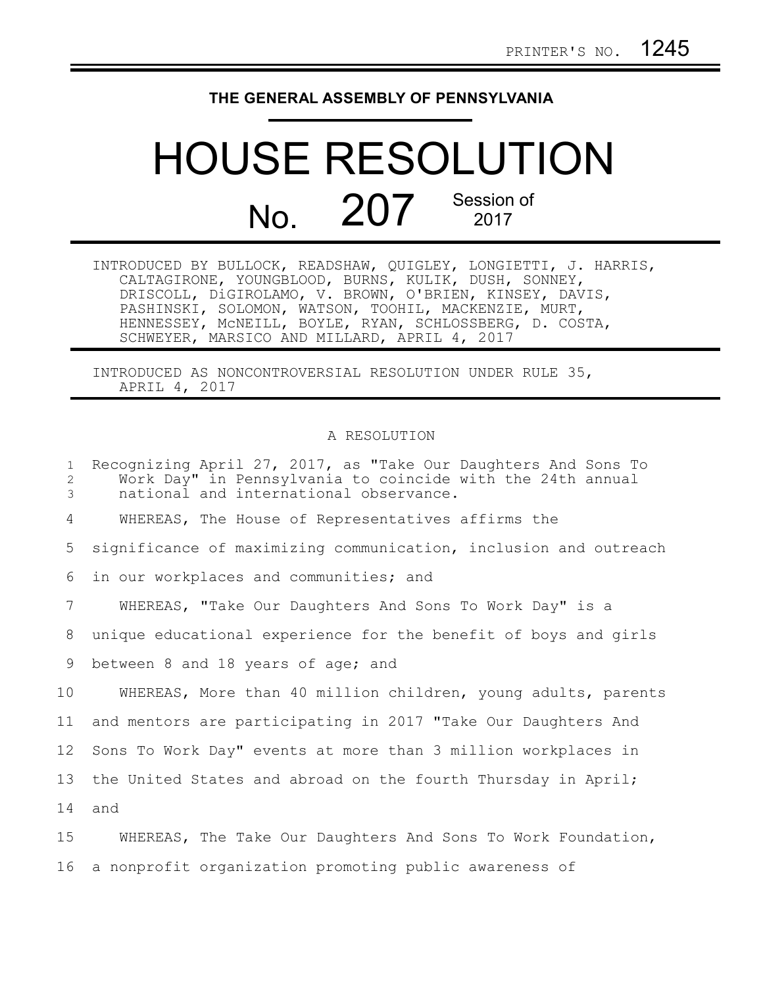## **THE GENERAL ASSEMBLY OF PENNSYLVANIA**

## HOUSE RESOLUTION No. 207 Session of

| INTRODUCED BY BULLOCK, READSHAW, QUIGLEY, LONGIETTI, J. HARRIS, |
|-----------------------------------------------------------------|
| CALTAGIRONE, YOUNGBLOOD, BURNS, KULIK, DUSH, SONNEY,            |
| DRISCOLL, DiGIROLAMO, V. BROWN, O'BRIEN, KINSEY, DAVIS,         |
| PASHINSKI, SOLOMON, WATSON, TOOHIL, MACKENZIE, MURT,            |
| HENNESSEY, MCNEILL, BOYLE, RYAN, SCHLOSSBERG, D. COSTA,         |
| SCHWEYER, MARSICO AND MILLARD, APRIL 4, 2017                    |

INTRODUCED AS NONCONTROVERSIAL RESOLUTION UNDER RULE 35, APRIL 4, 2017

## A RESOLUTION

| $\mathbf{1}$<br>2<br>3 | Recognizing April 27, 2017, as "Take Our Daughters And Sons To<br>Work Day" in Pennsylvania to coincide with the 24th annual<br>national and international observance. |
|------------------------|------------------------------------------------------------------------------------------------------------------------------------------------------------------------|
| 4                      | WHEREAS, The House of Representatives affirms the                                                                                                                      |
| 5                      | significance of maximizing communication, inclusion and outreach                                                                                                       |
| 6                      | in our workplaces and communities; and                                                                                                                                 |
| 7                      | WHEREAS, "Take Our Daughters And Sons To Work Day" is a                                                                                                                |
| 8                      | unique educational experience for the benefit of boys and girls                                                                                                        |
| 9                      | between 8 and 18 years of age; and                                                                                                                                     |
| 10 <sub>o</sub>        | WHEREAS, More than 40 million children, young adults, parents                                                                                                          |
| 11                     | and mentors are participating in 2017 "Take Our Daughters And                                                                                                          |
| 12                     | Sons To Work Day" events at more than 3 million workplaces in                                                                                                          |
| 13                     | the United States and abroad on the fourth Thursday in April;                                                                                                          |
| 14                     | and                                                                                                                                                                    |
| 15                     | WHEREAS, The Take Our Daughters And Sons To Work Foundation,                                                                                                           |
| 16                     | a nonprofit organization promoting public awareness of                                                                                                                 |